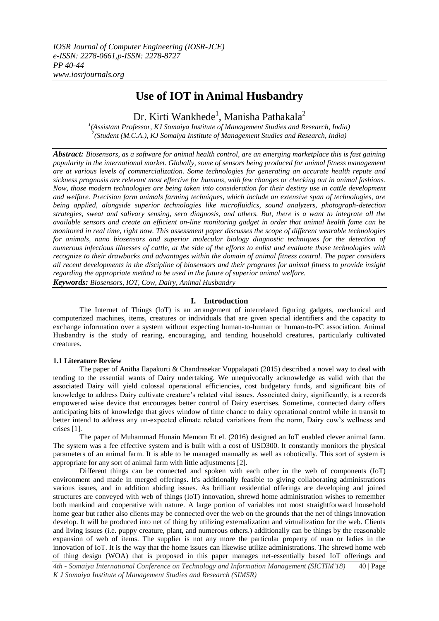# **Use of IOT in Animal Husbandry**

Dr. Kirti Wankhede<sup>1</sup>, Manisha Pathakala<sup>2</sup>

<sup>1</sup>(Assistant Professor, KJ Somaiya Institute of Management Studies and Research, India) *2 (Student (M.C.A.), KJ Somaiya Institute of Management Studies and Research, India)* 

*Abstract: Biosensors, as a software for animal health control, are an emerging marketplace this is fast gaining popularity in the international market. Globally, some of sensors being produced for animal fitness management are at various levels of commercialization. Some technologies for generating an accurate health repute and sickness prognosis are relevant most effective for humans, with few changes or checking out in animal fashions. Now, those modern technologies are being taken into consideration for their destiny use in cattle development and welfare. Precision farm animals farming techniques, which include an extensive span of technologies, are being applied, alongside superior technologies like microfluidics, sound analyzers, photograph-detection strategies, sweat and salivary sensing, sero diagnosis, and others. But, there is a want to integrate all the available sensors and create an efficient on-line monitoring gadget in order that animal health fame can be monitored in real time, right now. This assessment paper discusses the scope of different wearable technologies for animals, nano biosensors and superior molecular biology diagnostic techniques for the detection of numerous infectious illnesses of cattle, at the side of the efforts to enlist and evaluate those technologies with recognize to their drawbacks and advantages within the domain of animal fitness control. The paper considers all recent developments in the discipline of biosensors and their programs for animal fitness to provide insight regarding the appropriate method to be used in the future of superior animal welfare.*

*Keywords: Biosensors, IOT, Cow, Dairy, Animal Husbandry*

# **I. Introduction**

The Internet of Things (IoT) is an arrangement of interrelated figuring gadgets, mechanical and computerized machines, items, creatures or individuals that are given special identifiers and the capacity to exchange information over a system without expecting human-to-human or human-to-PC association. Animal Husbandry is the study of rearing, encouraging, and tending household creatures, particularly cultivated creatures.

# **1.1 Literature Review**

The paper of Anitha Ilapakurti & Chandrasekar Vuppalapati (2015) described a novel way to deal with tending to the essential wants of Dairy undertaking. We unequivocally acknowledge as valid with that the associated Dairy will yield colossal operational efficiencies, cost budgetary funds, and significant bits of knowledge to address Dairy cultivate creature's related vital issues. Associated dairy, significantly, is a records empowered wise device that encourages better control of Dairy exercises. Sometime, connected dairy offers anticipating bits of knowledge that gives window of time chance to dairy operational control while in transit to better intend to address any un-expected climate related variations from the norm, Dairy cow's wellness and crises [1].

The paper of Muhammad Hunain Memom Et el. (2016) designed an IoT enabled clever animal farm. The system was a fee effective system and is built with a cost of USD300. It constantly monitors the physical parameters of an animal farm. It is able to be managed manually as well as robotically. This sort of system is appropriate for any sort of animal farm with little adjustments [2].

Different things can be connected and spoken with each other in the web of components (IoT) environment and made in merged offerings. It's additionally feasible to giving collaborating administrations various issues, and in addition abiding issues. As brilliant residential offerings are developing and joined structures are conveyed with web of things (IoT) innovation, shrewd home administration wishes to remember both mankind and cooperative with nature. A large portion of variables not most straightforward household home gear but rather also clients may be connected over the web on the grounds that the net of things innovation develop. It will be produced into net of thing by utilizing externalization and virtualization for the web. Clients and living issues (i.e. puppy creature, plant, and numerous others.) additionally can be things by the reasonable expansion of web of items. The supplier is not any more the particular property of man or ladies in the innovation of IoT. It is the way that the home issues can likewise utilize administrations. The shrewd home web of thing design (WOA) that is proposed in this paper manages net-essentially based IoT offerings and

*4th - Somaiya International Conference on Technology and Information Management (SICTIM'18)* 40 | Page *K J Somaiya Institute of Management Studies and Research (SIMSR)*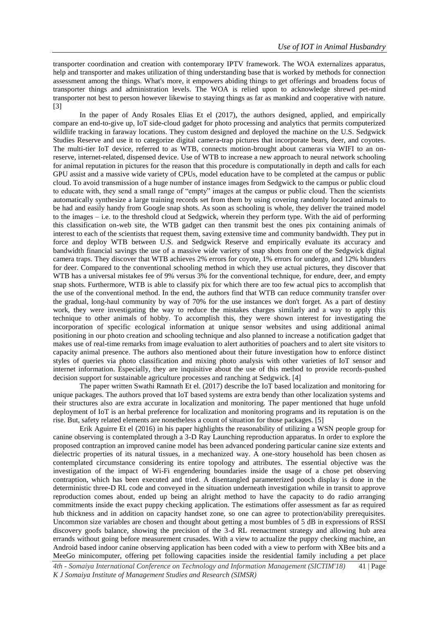transporter coordination and creation with contemporary IPTV framework. The WOA externalizes apparatus, help and transporter and makes utilization of thing understanding base that is worked by methods for connection assessment among the things. What's more, it empowers abiding things to get offerings and broadens focus of transporter things and administration levels. The WOA is relied upon to acknowledge shrewd pet-mind transporter not best to person however likewise to staying things as far as mankind and cooperative with nature. [3]

In the paper of Andy Rosales Elias Et el (2017), the authors designed, applied, and empirically compare an end-to-give up, IoT side-cloud gadget for photo processing and analytics that permits computerized wildlife tracking in faraway locations. They custom designed and deployed the machine on the U.S. Sedgwick Studies Reserve and use it to categorize digital camera-trap pictures that incorporate bears, deer, and coyotes. The multi-tier IoT device, referred to as WTB, connects motion-brought about cameras via WIFI to an onreserve, internet-related, dispensed device. Use of WTB to increase a new approach to neural network schooling for animal reputation in pictures for the reason that this procedure is computationally in depth and calls for each GPU assist and a massive wide variety of CPUs, model education have to be completed at the campus or public cloud. To avoid transmission of a huge number of instance images from Sedgwick to the campus or public cloud to educate with, they send a small range of "empty" images at the campus or public cloud. Then the scientists automatically synthesize a large training records set from them by using covering randomly located animals to be had and easily handy from Google snap shots. As soon as schooling is whole, they deliver the trained model to the images – i.e. to the threshold cloud at Sedgwick, wherein they perform type. With the aid of performing this classification on-web site, the WTB gadget can then transmit best the ones pix containing animals of interest to each of the scientists that request them, saving extensive time and community bandwidth. They put in force and deploy WTB between U.S. and Sedgwick Reserve and empirically evaluate its accuracy and bandwidth financial savings the use of a massive wide variety of snap shots from one of the Sedgwick digital camera traps. They discover that WTB achieves 2% errors for coyote, 1% errors for undergo, and 12% blunders for deer. Compared to the conventional schooling method in which they use actual pictures, they discover that WTB has a universal mistakes fee of 9% versus 3% for the conventional technique, for endure, deer, and empty snap shots. Furthermore, WTB is able to classify pix for which there are too few actual pics to accomplish that the use of the conventional method. In the end, the authors find that WTB can reduce community transfer over the gradual, long-haul community by way of 70% for the use instances we don't forget. As a part of destiny work, they were investigating the way to reduce the mistakes charges similarly and a way to apply this technique to other animals of hobby. To accomplish this, they were shown interest for investigating the incorporation of specific ecological information at unique sensor websites and using additional animal positioning in our photo creation and schooling technique and also planned to increase a notification gadget that makes use of real-time remarks from image evaluation to alert authorities of poachers and to alert site visitors to capacity animal presence. The authors also mentioned about their future investigation how to enforce distinct styles of queries via photo classification and mixing photo analysis with other varieties of IoT sensor and internet information. Especially, they are inquisitive about the use of this method to provide records-pushed decision support for sustainable agriculture processes and ranching at Sedgwick. [4]

The paper written Swathi Ramnath Et el. (2017) describe the IoT based localization and monitoring for unique packages. The authors proved that IoT based systems are extra bendy than other localization systems and their structures also are extra accurate in localization and monitoring. The paper mentioned that huge unfold deployment of IoT is an herbal preference for localization and monitoring programs and its reputation is on the rise. But, safety related elements are nonetheless a count of situation for those packages. [5]

Erik Aguirre Et el (2016) in his paper highlights the reasonability of utilizing a WSN people group for canine observing is contemplated through a 3-D Ray Launching reproduction apparatus. In order to explore the proposed contraption an improved canine model has been advanced pondering particular canine size extents and dielectric properties of its natural tissues, in a mechanized way. A one-story household has been chosen as contemplated circumstance considering its entire topology and attributes. The essential objective was the investigation of the impact of Wi-Fi engendering boundaries inside the usage of a chose pet observing contraption, which has been executed and tried. A disentangled parameterized pooch display is done in the deterministic three-D RL code and conveyed in the situation underneath investigation while in transit to approve reproduction comes about, ended up being an alright method to have the capacity to do radio arranging commitments inside the exact puppy checking application. The estimations offer assessment as far as required hub thickness and in addition on capacity handset zone, so one can agree to protection/ability prerequisites. Uncommon size variables are chosen and thought about getting a most bumbles of 5 dB in expressions of RSSI discovery goofs balance, showing the precision of the 3-d RL reenactment strategy and allowing hub area errands without going before measurement crusades. With a view to actualize the puppy checking machine, an Android based indoor canine observing application has been coded with a view to perform with XBee bits and a MeeGo minicomputer, offering pet following capacities inside the residential family including a pet place

*4th - Somaiya International Conference on Technology and Information Management (SICTIM'18)* 41 | Page *K J Somaiya Institute of Management Studies and Research (SIMSR)*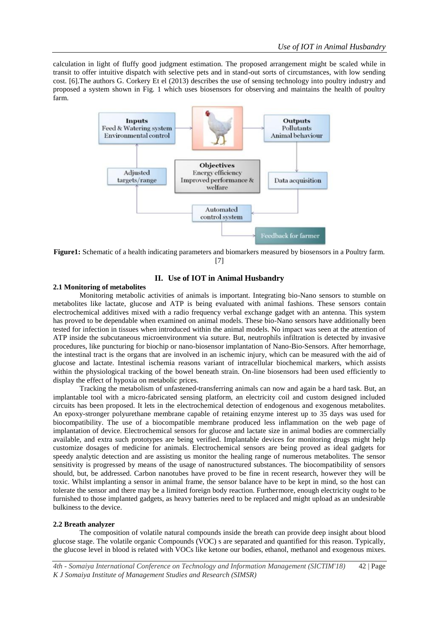calculation in light of fluffy good judgment estimation. The proposed arrangement might be scaled while in transit to offer intuitive dispatch with selective pets and in stand-out sorts of circumstances, with low sending cost. [6].The authors G. Corkery Et el (2013) describes the use of sensing technology into poultry industry and proposed a system shown in Fig. 1 which uses biosensors for observing and maintains the health of poultry farm.



**Figure1:** Schematic of a health indicating parameters and biomarkers measured by biosensors in a Poultry farm. [7]

# **II. Use of IOT in Animal Husbandry**

### **2.1 Monitoring of metabolites**

Monitoring metabolic activities of animals is important. Integrating bio-Nano sensors to stumble on metabolites like lactate, glucose and ATP is being evaluated with animal fashions. These sensors contain electrochemical additives mixed with a radio frequency verbal exchange gadget with an antenna. This system has proved to be dependable when examined on animal models. These bio-Nano sensors have additionally been tested for infection in tissues when introduced within the animal models. No impact was seen at the attention of ATP inside the subcutaneous microenvironment via suture. But, neutrophils infiltration is detected by invasive procedures, like puncturing for biochip or nano-biosensor implantation of Nano-Bio-Sensors. After hemorrhage, the intestinal tract is the organs that are involved in an ischemic injury, which can be measured with the aid of glucose and lactate. Intestinal ischemia reasons variant of intracellular biochemical markers, which assists within the physiological tracking of the bowel beneath strain. On-line biosensors had been used efficiently to display the effect of hypoxia on metabolic prices.

Tracking the metabolism of unfastened-transferring animals can now and again be a hard task. But, an implantable tool with a micro-fabricated sensing platform, an electricity coil and custom designed included circuits has been proposed. It lets in the electrochemical detection of endogenous and exogenous metabolites. An epoxy-stronger polyurethane membrane capable of retaining enzyme interest up to 35 days was used for biocompatibility. The use of a biocompatible membrane produced less inflammation on the web page of implantation of device. Electrochemical sensors for glucose and lactate size in animal bodies are commercially available, and extra such prototypes are being verified. Implantable devices for monitoring drugs might help customize dosages of medicine for animals. Electrochemical sensors are being proved as ideal gadgets for speedy analytic detection and are assisting us monitor the healing range of numerous metabolites. The sensor sensitivity is progressed by means of the usage of nanostructured substances. The biocompatibility of sensors should, but, be addressed. Carbon nanotubes have proved to be fine in recent research, however they will be toxic. Whilst implanting a sensor in animal frame, the sensor balance have to be kept in mind, so the host can tolerate the sensor and there may be a limited foreign body reaction. Furthermore, enough electricity ought to be furnished to those implanted gadgets, as heavy batteries need to be replaced and might upload as an undesirable bulkiness to the device.

#### **2.2 Breath analyzer**

The composition of volatile natural compounds inside the breath can provide deep insight about blood glucose stage. The volatile organic Compounds (VOC) s are separated and quantified for this reason. Typically, the glucose level in blood is related with VOCs like ketone our bodies, ethanol, methanol and exogenous mixes.

*4th - Somaiya International Conference on Technology and Information Management (SICTIM'18)* 42 | Page *K J Somaiya Institute of Management Studies and Research (SIMSR)*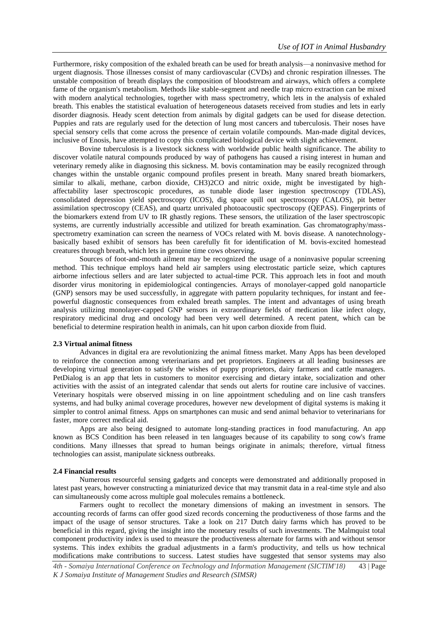Furthermore, risky composition of the exhaled breath can be used for breath analysis—a noninvasive method for urgent diagnosis. Those illnesses consist of many cardiovascular (CVDs) and chronic respiration illnesses. The unstable composition of breath displays the composition of bloodstream and airways, which offers a complete fame of the organism's metabolism. Methods like stable-segment and needle trap micro extraction can be mixed with modern analytical technologies, together with mass spectrometry, which lets in the analysis of exhaled breath. This enables the statistical evaluation of heterogeneous datasets received from studies and lets in early disorder diagnosis. Heady scent detection from animals by digital gadgets can be used for disease detection. Puppies and rats are regularly used for the detection of lung most cancers and tuberculosis. Their noses have special sensory cells that come across the presence of certain volatile compounds. Man-made digital devices, inclusive of Enosis, have attempted to copy this complicated biological device with slight achievement.

Bovine tuberculosis is a livestock sickness with worldwide public health significance. The ability to discover volatile natural compounds produced by way of pathogens has caused a rising interest in human and veterinary remedy alike in diagnosing this sickness. M. bovis contamination may be easily recognized through changes within the unstable organic compound profiles present in breath. Many snared breath biomarkers, similar to alkali, methane, carbon dioxide, CH3)2CO and nitric oxide, might be investigated by highaffectability laser spectroscopic procedures, as tunable diode laser ingestion spectroscopy (TDLAS), consolidated depression yield spectroscopy (ICOS), dig space spill out spectroscopy (CALOS), pit better assimilation spectroscopy (CEAS), and quartz unrivaled photoacoustic spectroscopy (QEPAS). Fingerprints of the biomarkers extend from UV to IR ghastly regions. These sensors, the utilization of the laser spectroscopic systems, are currently industrially accessible and utilized for breath examination. Gas chromatography/massspectrometry examination can screen the nearness of VOCs related with M. bovis disease. A nanotechnologybasically based exhibit of sensors has been carefully fit for identification of M. bovis-excited homestead creatures through breath, which lets in genuine time cows observing.

Sources of foot-and-mouth ailment may be recognized the usage of a noninvasive popular screening method. This technique employs hand held air samplers using electrostatic particle seize, which captures airborne infectious sellers and are later subjected to actual-time PCR. This approach lets in foot and mouth disorder virus monitoring in epidemiological contingencies. Arrays of monolayer-capped gold nanoparticle (GNP) sensors may be used successfully, in aggregate with pattern popularity techniques, for instant and feepowerful diagnostic consequences from exhaled breath samples. The intent and advantages of using breath analysis utilizing monolayer-capped GNP sensors in extraordinary fields of medication like infect ology, respiratory medicinal drug and oncology had been very well determined. A recent patent, which can be beneficial to determine respiration health in animals, can hit upon carbon dioxide from fluid.

# **2.3 Virtual animal fitness**

Advances in digital era are revolutionizing the animal fitness market. Many Apps has been developed to reinforce the connection among veterinarians and pet proprietors. Engineers at all leading businesses are developing virtual generation to satisfy the wishes of puppy proprietors, dairy farmers and cattle managers. PetDialog is an app that lets in customers to monitor exercising and dietary intake, socialization and other activities with the assist of an integrated calendar that sends out alerts for routine care inclusive of vaccines. Veterinary hospitals were observed missing in on line appointment scheduling and on line cash transfers systems, and had bulky animal coverage procedures, however new development of digital systems is making it simpler to control animal fitness. Apps on smartphones can music and send animal behavior to veterinarians for faster, more correct medical aid.

Apps are also being designed to automate long-standing practices in food manufacturing. An app known as BCS Condition has been released in ten languages because of its capability to song cow's frame conditions. Many illnesses that spread to human beings originate in animals; therefore, virtual fitness technologies can assist, manipulate sickness outbreaks.

#### **2.4 Financial results**

Numerous resourceful sensing gadgets and concepts were demonstrated and additionally proposed in latest past years, however constructing a miniaturized device that may transmit data in a real-time style and also can simultaneously come across multiple goal molecules remains a bottleneck.

Farmers ought to recollect the monetary dimensions of making an investment in sensors. The accounting records of farms can offer good sized records concerning the productiveness of those farms and the impact of the usage of sensor structures. Take a look on 217 Dutch dairy farms which has proved to be beneficial in this regard, giving the insight into the monetary results of such investments. The Malmquist total component productivity index is used to measure the productiveness alternate for farms with and without sensor systems. This index exhibits the gradual adjustments in a farm's productivity, and tells us how technical modifications make contributions to success. Latest studies have suggested that sensor systems may also

*4th - Somaiya International Conference on Technology and Information Management (SICTIM'18)* 43 | Page *K J Somaiya Institute of Management Studies and Research (SIMSR)*